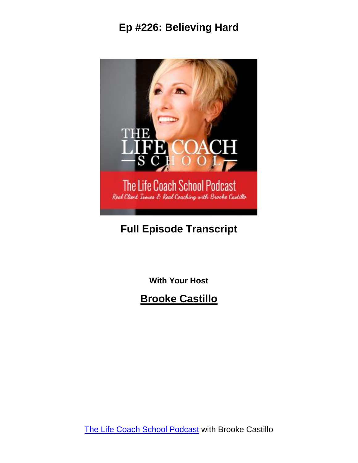

### **Full Episode Transcript**

**With Your Host**

**Brooke Castillo**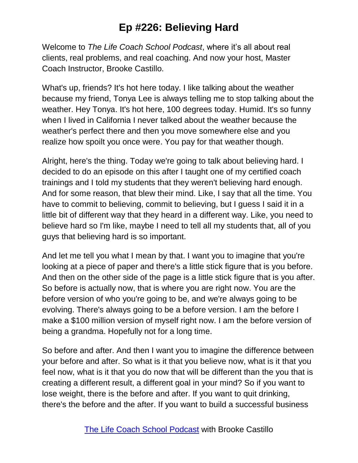Welcome to *The Life Coach School Podcast*, where it's all about real clients, real problems, and real coaching. And now your host, Master Coach Instructor, Brooke Castillo.

What's up, friends? It's hot here today. I like talking about the weather because my friend, Tonya Lee is always telling me to stop talking about the weather. Hey Tonya. It's hot here, 100 degrees today. Humid. It's so funny when I lived in California I never talked about the weather because the weather's perfect there and then you move somewhere else and you realize how spoilt you once were. You pay for that weather though.

Alright, here's the thing. Today we're going to talk about believing hard. I decided to do an episode on this after I taught one of my certified coach trainings and I told my students that they weren't believing hard enough. And for some reason, that blew their mind. Like, I say that all the time. You have to commit to believing, commit to believing, but I guess I said it in a little bit of different way that they heard in a different way. Like, you need to believe hard so I'm like, maybe I need to tell all my students that, all of you guys that believing hard is so important.

And let me tell you what I mean by that. I want you to imagine that you're looking at a piece of paper and there's a little stick figure that is you before. And then on the other side of the page is a little stick figure that is you after. So before is actually now, that is where you are right now. You are the before version of who you're going to be, and we're always going to be evolving. There's always going to be a before version. I am the before I make a \$100 million version of myself right now. I am the before version of being a grandma. Hopefully not for a long time.

So before and after. And then I want you to imagine the difference between your before and after. So what is it that you believe now, what is it that you feel now, what is it that you do now that will be different than the you that is creating a different result, a different goal in your mind? So if you want to lose weight, there is the before and after. If you want to quit drinking, there's the before and the after. If you want to build a successful business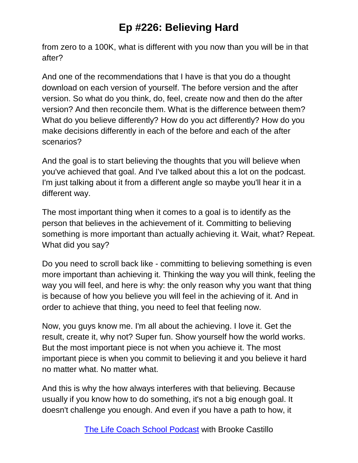from zero to a 100K, what is different with you now than you will be in that after?

And one of the recommendations that I have is that you do a thought download on each version of yourself. The before version and the after version. So what do you think, do, feel, create now and then do the after version? And then reconcile them. What is the difference between them? What do you believe differently? How do you act differently? How do you make decisions differently in each of the before and each of the after scenarios?

And the goal is to start believing the thoughts that you will believe when you've achieved that goal. And I've talked about this a lot on the podcast. I'm just talking about it from a different angle so maybe you'll hear it in a different way.

The most important thing when it comes to a goal is to identify as the person that believes in the achievement of it. Committing to believing something is more important than actually achieving it. Wait, what? Repeat. What did you say?

Do you need to scroll back like - committing to believing something is even more important than achieving it. Thinking the way you will think, feeling the way you will feel, and here is why: the only reason why you want that thing is because of how you believe you will feel in the achieving of it. And in order to achieve that thing, you need to feel that feeling now.

Now, you guys know me. I'm all about the achieving. I love it. Get the result, create it, why not? Super fun. Show yourself how the world works. But the most important piece is not when you achieve it. The most important piece is when you commit to believing it and you believe it hard no matter what. No matter what.

And this is why the how always interferes with that believing. Because usually if you know how to do something, it's not a big enough goal. It doesn't challenge you enough. And even if you have a path to how, it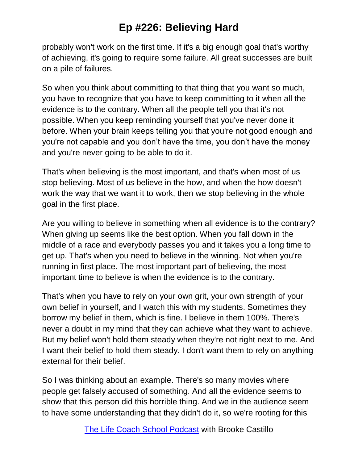probably won't work on the first time. If it's a big enough goal that's worthy of achieving, it's going to require some failure. All great successes are built on a pile of failures.

So when you think about committing to that thing that you want so much, you have to recognize that you have to keep committing to it when all the evidence is to the contrary. When all the people tell you that it's not possible. When you keep reminding yourself that you've never done it before. When your brain keeps telling you that you're not good enough and you're not capable and you don't have the time, you don't have the money and you're never going to be able to do it.

That's when believing is the most important, and that's when most of us stop believing. Most of us believe in the how, and when the how doesn't work the way that we want it to work, then we stop believing in the whole goal in the first place.

Are you willing to believe in something when all evidence is to the contrary? When giving up seems like the best option. When you fall down in the middle of a race and everybody passes you and it takes you a long time to get up. That's when you need to believe in the winning. Not when you're running in first place. The most important part of believing, the most important time to believe is when the evidence is to the contrary.

That's when you have to rely on your own grit, your own strength of your own belief in yourself, and I watch this with my students. Sometimes they borrow my belief in them, which is fine. I believe in them 100%. There's never a doubt in my mind that they can achieve what they want to achieve. But my belief won't hold them steady when they're not right next to me. And I want their belief to hold them steady. I don't want them to rely on anything external for their belief.

So I was thinking about an example. There's so many movies where people get falsely accused of something. And all the evidence seems to show that this person did this horrible thing. And we in the audience seem to have some understanding that they didn't do it, so we're rooting for this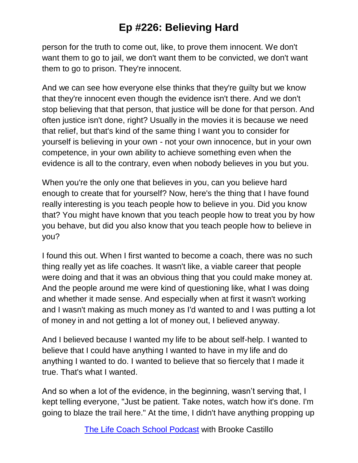person for the truth to come out, like, to prove them innocent. We don't want them to go to jail, we don't want them to be convicted, we don't want them to go to prison. They're innocent.

And we can see how everyone else thinks that they're guilty but we know that they're innocent even though the evidence isn't there. And we don't stop believing that that person, that justice will be done for that person. And often justice isn't done, right? Usually in the movies it is because we need that relief, but that's kind of the same thing I want you to consider for yourself is believing in your own - not your own innocence, but in your own competence, in your own ability to achieve something even when the evidence is all to the contrary, even when nobody believes in you but you.

When you're the only one that believes in you, can you believe hard enough to create that for yourself? Now, here's the thing that I have found really interesting is you teach people how to believe in you. Did you know that? You might have known that you teach people how to treat you by how you behave, but did you also know that you teach people how to believe in you?

I found this out. When I first wanted to become a coach, there was no such thing really yet as life coaches. It wasn't like, a viable career that people were doing and that it was an obvious thing that you could make money at. And the people around me were kind of questioning like, what I was doing and whether it made sense. And especially when at first it wasn't working and I wasn't making as much money as I'd wanted to and I was putting a lot of money in and not getting a lot of money out, I believed anyway.

And I believed because I wanted my life to be about self-help. I wanted to believe that I could have anything I wanted to have in my life and do anything I wanted to do. I wanted to believe that so fiercely that I made it true. That's what I wanted.

And so when a lot of the evidence, in the beginning, wasn't serving that, I kept telling everyone, "Just be patient. Take notes, watch how it's done. I'm going to blaze the trail here." At the time, I didn't have anything propping up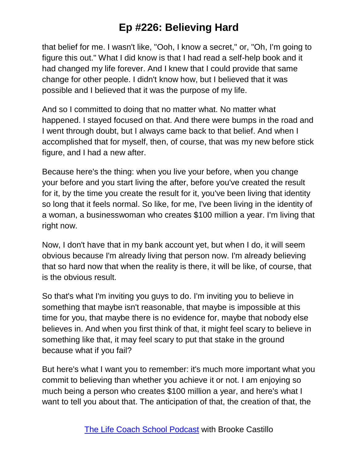that belief for me. I wasn't like, "Ooh, I know a secret," or, "Oh, I'm going to figure this out." What I did know is that I had read a self-help book and it had changed my life forever. And I knew that I could provide that same change for other people. I didn't know how, but I believed that it was possible and I believed that it was the purpose of my life.

And so I committed to doing that no matter what. No matter what happened. I stayed focused on that. And there were bumps in the road and I went through doubt, but I always came back to that belief. And when I accomplished that for myself, then, of course, that was my new before stick figure, and I had a new after.

Because here's the thing: when you live your before, when you change your before and you start living the after, before you've created the result for it, by the time you create the result for it, you've been living that identity so long that it feels normal. So like, for me, I've been living in the identity of a woman, a businesswoman who creates \$100 million a year. I'm living that right now.

Now, I don't have that in my bank account yet, but when I do, it will seem obvious because I'm already living that person now. I'm already believing that so hard now that when the reality is there, it will be like, of course, that is the obvious result.

So that's what I'm inviting you guys to do. I'm inviting you to believe in something that maybe isn't reasonable, that maybe is impossible at this time for you, that maybe there is no evidence for, maybe that nobody else believes in. And when you first think of that, it might feel scary to believe in something like that, it may feel scary to put that stake in the ground because what if you fail?

But here's what I want you to remember: it's much more important what you commit to believing than whether you achieve it or not. I am enjoying so much being a person who creates \$100 million a year, and here's what I want to tell you about that. The anticipation of that, the creation of that, the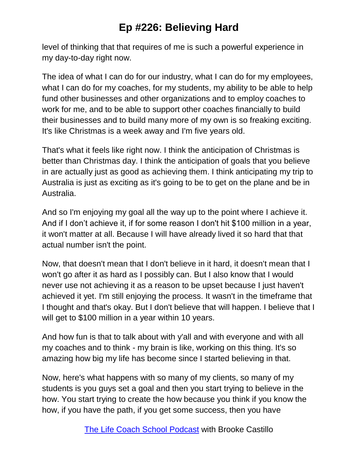level of thinking that that requires of me is such a powerful experience in my day-to-day right now.

The idea of what I can do for our industry, what I can do for my employees, what I can do for my coaches, for my students, my ability to be able to help fund other businesses and other organizations and to employ coaches to work for me, and to be able to support other coaches financially to build their businesses and to build many more of my own is so freaking exciting. It's like Christmas is a week away and I'm five years old.

That's what it feels like right now. I think the anticipation of Christmas is better than Christmas day. I think the anticipation of goals that you believe in are actually just as good as achieving them. I think anticipating my trip to Australia is just as exciting as it's going to be to get on the plane and be in Australia.

And so I'm enjoying my goal all the way up to the point where I achieve it. And if I don't achieve it, if for some reason I don't hit \$100 million in a year, it won't matter at all. Because I will have already lived it so hard that that actual number isn't the point.

Now, that doesn't mean that I don't believe in it hard, it doesn't mean that I won't go after it as hard as I possibly can. But I also know that I would never use not achieving it as a reason to be upset because I just haven't achieved it yet. I'm still enjoying the process. It wasn't in the timeframe that I thought and that's okay. But I don't believe that will happen. I believe that I will get to \$100 million in a year within 10 years.

And how fun is that to talk about with y'all and with everyone and with all my coaches and to think - my brain is like, working on this thing. It's so amazing how big my life has become since I started believing in that.

Now, here's what happens with so many of my clients, so many of my students is you guys set a goal and then you start trying to believe in the how. You start trying to create the how because you think if you know the how, if you have the path, if you get some success, then you have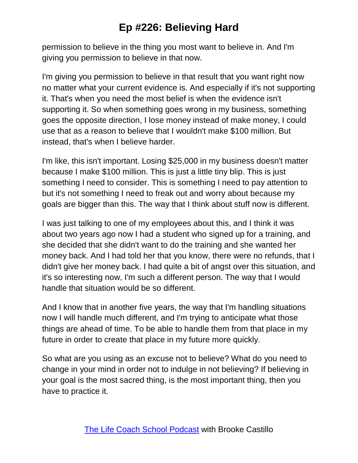permission to believe in the thing you most want to believe in. And I'm giving you permission to believe in that now.

I'm giving you permission to believe in that result that you want right now no matter what your current evidence is. And especially if it's not supporting it. That's when you need the most belief is when the evidence isn't supporting it. So when something goes wrong in my business, something goes the opposite direction, I lose money instead of make money, I could use that as a reason to believe that I wouldn't make \$100 million. But instead, that's when I believe harder.

I'm like, this isn't important. Losing \$25,000 in my business doesn't matter because I make \$100 million. This is just a little tiny blip. This is just something I need to consider. This is something I need to pay attention to but it's not something I need to freak out and worry about because my goals are bigger than this. The way that I think about stuff now is different.

I was just talking to one of my employees about this, and I think it was about two years ago now I had a student who signed up for a training, and she decided that she didn't want to do the training and she wanted her money back. And I had told her that you know, there were no refunds, that I didn't give her money back. I had quite a bit of angst over this situation, and it's so interesting now, I'm such a different person. The way that I would handle that situation would be so different.

And I know that in another five years, the way that I'm handling situations now I will handle much different, and I'm trying to anticipate what those things are ahead of time. To be able to handle them from that place in my future in order to create that place in my future more quickly.

So what are you using as an excuse not to believe? What do you need to change in your mind in order not to indulge in not believing? If believing in your goal is the most sacred thing, is the most important thing, then you have to practice it.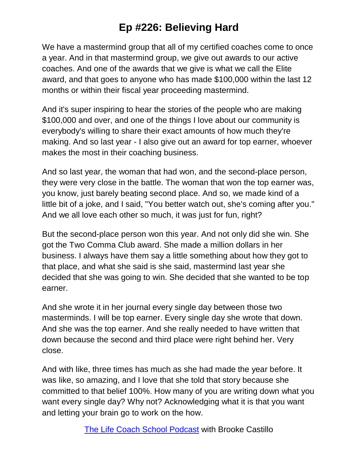We have a mastermind group that all of my certified coaches come to once a year. And in that mastermind group, we give out awards to our active coaches. And one of the awards that we give is what we call the Elite award, and that goes to anyone who has made \$100,000 within the last 12 months or within their fiscal year proceeding mastermind.

And it's super inspiring to hear the stories of the people who are making \$100,000 and over, and one of the things I love about our community is everybody's willing to share their exact amounts of how much they're making. And so last year - I also give out an award for top earner, whoever makes the most in their coaching business.

And so last year, the woman that had won, and the second-place person, they were very close in the battle. The woman that won the top earner was, you know, just barely beating second place. And so, we made kind of a little bit of a joke, and I said, "You better watch out, she's coming after you." And we all love each other so much, it was just for fun, right?

But the second-place person won this year. And not only did she win. She got the Two Comma Club award. She made a million dollars in her business. I always have them say a little something about how they got to that place, and what she said is she said, mastermind last year she decided that she was going to win. She decided that she wanted to be top earner.

And she wrote it in her journal every single day between those two masterminds. I will be top earner. Every single day she wrote that down. And she was the top earner. And she really needed to have written that down because the second and third place were right behind her. Very close.

And with like, three times has much as she had made the year before. It was like, so amazing, and I love that she told that story because she committed to that belief 100%. How many of you are writing down what you want every single day? Why not? Acknowledging what it is that you want and letting your brain go to work on the how.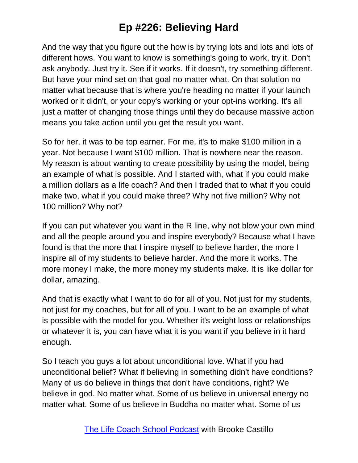And the way that you figure out the how is by trying lots and lots and lots of different hows. You want to know is something's going to work, try it. Don't ask anybody. Just try it. See if it works. If it doesn't, try something different. But have your mind set on that goal no matter what. On that solution no matter what because that is where you're heading no matter if your launch worked or it didn't, or your copy's working or your opt-ins working. It's all just a matter of changing those things until they do because massive action means you take action until you get the result you want.

So for her, it was to be top earner. For me, it's to make \$100 million in a year. Not because I want \$100 million. That is nowhere near the reason. My reason is about wanting to create possibility by using the model, being an example of what is possible. And I started with, what if you could make a million dollars as a life coach? And then I traded that to what if you could make two, what if you could make three? Why not five million? Why not 100 million? Why not?

If you can put whatever you want in the R line, why not blow your own mind and all the people around you and inspire everybody? Because what I have found is that the more that I inspire myself to believe harder, the more I inspire all of my students to believe harder. And the more it works. The more money I make, the more money my students make. It is like dollar for dollar, amazing.

And that is exactly what I want to do for all of you. Not just for my students, not just for my coaches, but for all of you. I want to be an example of what is possible with the model for you. Whether it's weight loss or relationships or whatever it is, you can have what it is you want if you believe in it hard enough.

So I teach you guys a lot about unconditional love. What if you had unconditional belief? What if believing in something didn't have conditions? Many of us do believe in things that don't have conditions, right? We believe in god. No matter what. Some of us believe in universal energy no matter what. Some of us believe in Buddha no matter what. Some of us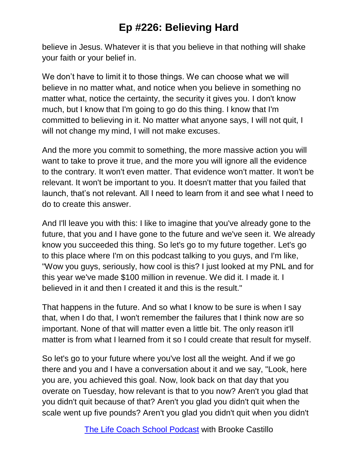believe in Jesus. Whatever it is that you believe in that nothing will shake your faith or your belief in.

We don't have to limit it to those things. We can choose what we will believe in no matter what, and notice when you believe in something no matter what, notice the certainty, the security it gives you. I don't know much, but I know that I'm going to go do this thing. I know that I'm committed to believing in it. No matter what anyone says, I will not quit, I will not change my mind, I will not make excuses.

And the more you commit to something, the more massive action you will want to take to prove it true, and the more you will ignore all the evidence to the contrary. It won't even matter. That evidence won't matter. It won't be relevant. It won't be important to you. It doesn't matter that you failed that launch, that's not relevant. All I need to learn from it and see what I need to do to create this answer.

And I'll leave you with this: I like to imagine that you've already gone to the future, that you and I have gone to the future and we've seen it. We already know you succeeded this thing. So let's go to my future together. Let's go to this place where I'm on this podcast talking to you guys, and I'm like, "Wow you guys, seriously, how cool is this? I just looked at my PNL and for this year we've made \$100 million in revenue. We did it. I made it. I believed in it and then I created it and this is the result."

That happens in the future. And so what I know to be sure is when I say that, when I do that, I won't remember the failures that I think now are so important. None of that will matter even a little bit. The only reason it'll matter is from what I learned from it so I could create that result for myself.

So let's go to your future where you've lost all the weight. And if we go there and you and I have a conversation about it and we say, "Look, here you are, you achieved this goal. Now, look back on that day that you overate on Tuesday, how relevant is that to you now? Aren't you glad that you didn't quit because of that? Aren't you glad you didn't quit when the scale went up five pounds? Aren't you glad you didn't quit when you didn't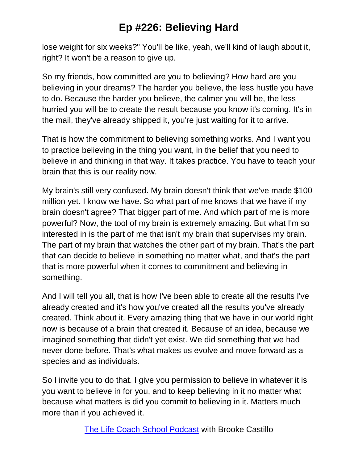lose weight for six weeks?" You'll be like, yeah, we'll kind of laugh about it, right? It won't be a reason to give up.

So my friends, how committed are you to believing? How hard are you believing in your dreams? The harder you believe, the less hustle you have to do. Because the harder you believe, the calmer you will be, the less hurried you will be to create the result because you know it's coming. It's in the mail, they've already shipped it, you're just waiting for it to arrive.

That is how the commitment to believing something works. And I want you to practice believing in the thing you want, in the belief that you need to believe in and thinking in that way. It takes practice. You have to teach your brain that this is our reality now.

My brain's still very confused. My brain doesn't think that we've made \$100 million yet. I know we have. So what part of me knows that we have if my brain doesn't agree? That bigger part of me. And which part of me is more powerful? Now, the tool of my brain is extremely amazing. But what I'm so interested in is the part of me that isn't my brain that supervises my brain. The part of my brain that watches the other part of my brain. That's the part that can decide to believe in something no matter what, and that's the part that is more powerful when it comes to commitment and believing in something.

And I will tell you all, that is how I've been able to create all the results I've already created and it's how you've created all the results you've already created. Think about it. Every amazing thing that we have in our world right now is because of a brain that created it. Because of an idea, because we imagined something that didn't yet exist. We did something that we had never done before. That's what makes us evolve and move forward as a species and as individuals.

So I invite you to do that. I give you permission to believe in whatever it is you want to believe in for you, and to keep believing in it no matter what because what matters is did you commit to believing in it. Matters much more than if you achieved it.